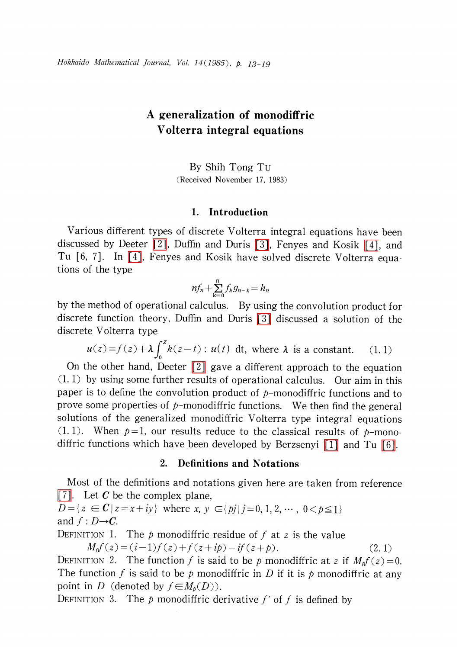# A generalization of monodiffric Volterra integral equations

By Shih Tong Tu (Received November 17, 1983)

### 1. Introduction

Various different types of discrete Volterra integral equations have been discussed by Deeter [\[2\],](#page-5-0) Duffin and Duris [\[3\],](#page-5-1) Fenyes and Kosik [\[4\],](#page-5-2) and Tu [6, 7]. In [\[4\],](#page-5-2) Fenyes and Kosik have solved discrete Volterra equations of the type

$$
nf_n+\sum_{k=0}^n f_kg_{n-k}=h_n
$$

by the method of operational calculus. By using the convolution product for discrete function theory, Duffin and Duris [\[3\]](#page-5-1) discussed a solution of the discrete Volterra type

$$
u(z) = f(z) + \lambda \int_0^z k(z - t) : u(t) \, dt, \text{ where } \lambda \text{ is a constant.} \qquad (1.1)
$$

On the other hand, Deeter  $\lceil 2 \rceil$  gave a different approach to the equation (1. 1) by using some further results of operational calculus. Our aim in this paper is to define the convolution product of  $p$ -monodiffric functions and to prove some properties of  $p$ -monodiffric functions. We then find the general solutions of the generalized monodiffric Volterra type integral equations  $(1, 1)$ . When  $p=1$ , our results reduce to the classical results of p-monodiffric functions which have been developed by Berzsenyi [\[1\]](#page-5-3) and Tu [\[6\].](#page-6-0)

# 2. Definitions and Notations

Most of the definitions and notations given here are taken from reference [\[7\].](#page-6-1) Let C be the complex plane,

 $D=\{z\in C\,|\,z=x+iy\}$  where  $x, y\in\{pj|j=0,1,2, \cdots, 0\leq p\leq 1\}$ and  $f: D \rightarrow C$ .

DEFINITION 1. The p monodiffric residue of f at z is the value

$$
M_p f(z) = (i-1)f(z) + f(z+ip) - if(z+p).
$$
 (2.1)

<span id="page-0-0"></span>DEFINITION 2. The function f is said to be p monodiffric at z if  $M_{p}f(z)=0$ . The function f is said to be p monodiffric in D if it is p monodiffric at any point in D (denoted by  $f\in M_{p}(D)$ ).

DEFINITION 3. The  $p$  monodiffric derivative  $f'$  of  $f$  is defined by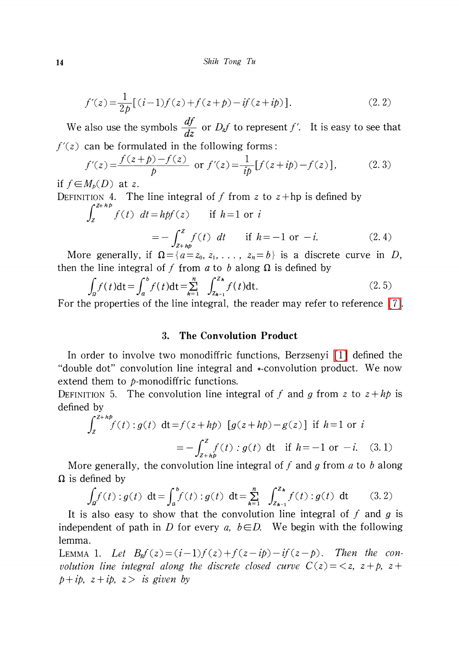$$
f'(z) = \frac{1}{2p} [(i-1)f(z) + f(z+p) - if(z+ip)].
$$
\n(2.2)

We also use the symbols  $\frac{df}{dz}$  or  $D_{z}f$  to represent f'. It is easy to see that  $f'(z)$  can be formulated in the following forms:

$$
f'(z) = \frac{f(z+p)-f(z)}{p} \text{ or } f'(z) = \frac{1}{ip} [f(z+ip)-f(z)],\tag{2.3}
$$

if  $f\in M_{p}(D)$  at z.

DEFINITION 4. The line integral of f from z to  $z + hp$  is defined by

$$
\int_{z}^{2+np} f(t) dt = hpf(z) \quad \text{if } h=1 \text{ or } i
$$

$$
= -\int_{z+hp}^{z} f(t) dt \quad \text{if } h=-1 \text{ or } -i. \tag{2.4}
$$

More generally, if  $\Omega=\{a=z_{0}, z_{1}, \ldots, z_{n}=b\}$  is a discrete curve in D, then the line integral of f from a to b along  $\Omega$  is defined by

$$
\int_{\Omega} f(t)dt = \int_{a}^{b} f(t)dt = \sum_{k=1}^{n} \int_{Z_{k-1}}^{Z_k} f(t)dt.
$$
\n(2.5)

For the properties of the line integral, the reader may refer to reference [\[7\].](#page-6-1)

### 3. The Convolution Product

In order to involve two monodiffric functions, Berzsenyi [\[1\]](#page-5-3) defined the "double dot" convolution line integral and \* -convolution product. We now extend them to p-monodiffric functions.

DEFINITION 5. The convolution line integral of f and g from z to  $z + h p$  is defined by

$$
\int_{z}^{z+hp} f(t) : g(t) \, dt = f(z+hp) \left[ g(z+hp) - g(z) \right] \text{ if } h=1 \text{ or } i
$$

$$
= -\int_{z+h}^{z} f(t) : g(t) \, dt \quad \text{if } h=-1 \text{ or } -i. \quad (3.1)
$$

More generally, the convolution line integral of f and g from a to b along  $\Omega$  is defined by

$$
\int_{\Omega} f(t) : g(t) \, dt = \int_{a}^{b} f(t) : g(t) \, dt = \sum_{k=1}^{n} \int_{Z_{k-1}}^{Z_k} f(t) : g(t) \, dt \qquad (3.2)
$$

It is also easy to show that the convolution line integral of f and g is independent of path in D for every a,  $b\in D$ . We begin with the following lemma.

<span id="page-1-0"></span>LEMMA 1. Let  $B_{p}f(z)=(i-1)f(z)+f(z-ip)-if(z -p)$ . Then the convolution line integral along the discrete closed curve  $C(z) = \langle z, z + p, z + p \rangle$  $p+ip$ ,  $z+ip$ ,  $z>$  is given by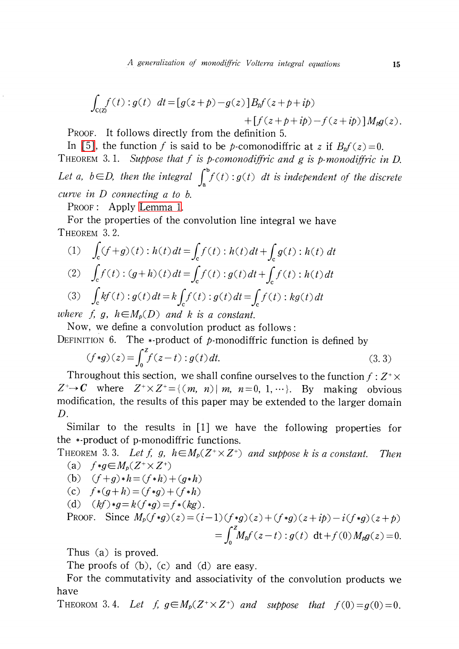$$
\int_{C(Z)} f(t) : g(t) dt = [g(z + p) - g(z)]Bpf(z + p + ip) + [f(z + p + ip) - f(z + ip)]Mpg(z).
$$

PROOF. It follows directly from the definition 5.

In [\[5\],](#page-6-2) the function f is said to be p-comonodiffric at z if  $B_{p}f(z)=0$ . THEOREM 3.1. Suppose that f is p-comonodiffric and g is p-monodiffric in D. Let a,  $b\in D$ , then the integral  $\int_{a}^{b}f(t):g(t)dt$  is independent of the discrete curve in D connecting a to b.

PROOF: Apply [Lemma](#page-1-0) 1.

For the properties of the convolution line integral we have THEOREM 3.2.

(1) 
$$
\int_{c} (f+g)(t) : h(t) dt = \int_{c} f(t) : h(t) dt + \int_{c} g(t) : h(t) dt
$$

(2) 
$$
\int_{c} f(t) : (g+h)(t) dt = \int_{c} f(t) : g(t) dt + \int_{c} f(t) : h(t) dt
$$

(3) 
$$
\int_{c} kf(t) : g(t) dt = k \int_{c} f(t) : g(t) dt = \int_{c} f(t) : kg(t) dt
$$

where f, g,  $h \in M_{p}(D)$  and k is a constant.

Now, we define a convolution product as follows: DEFINITION 6. The \*-product of p-monodiffric function is defined by

$$
(f * g)(z) = \int_0^z f(z - t) : g(t) dt.
$$
 (3.3)

Throughout this section, we shall confine ourselves to the function f :  $Z^{+}\times$  $Z^{+}\rightarrow C$  where  $Z^{+}\times Z^{+}=\{(m, n)|m, n=0, 1, \cdots\}$ . By making obvious modification, the results of this paper may be extended to the larger domain D.

Similar to the results in [1] we have the following properties for the \*-product of p-monodiffric functions.

THEOREM 3.3. Let f, g,  $h \in M_{p}(Z^{+}\times Z^{+})$  and suppose k is a constant. Then (a)  $f*g\in M_{p}(Z^{+}\times Z^{+})$ 

(b) 
$$
(f+g)*h = (f*h) + (g*h)
$$

(c) 
$$
f*(g+h) = (f*g) + (f*h)
$$

(d)  $(kf)*q=k(f*q)=f*(kg)$ .

PROOF. Since 
$$
M_p(f * g)(z) = (i-1)(f * g)(z) + (f * g)(z + ip) - i(f * g)(z + p)
$$
  
= 
$$
\int_0^z M_p f(z-t) : g(t) dt + f(0) M_p g(z) = 0.
$$

Thus (a) is proved.

The proofs of (b), (c) and (d) are easy.

For the commutativity and associativity of the convolution products we have

THEOROM 3.4. Let  $f, g \in M_{p}(Z^{+}\times Z^{+})$  and suppose that  $f(0)=g(0)=0$ .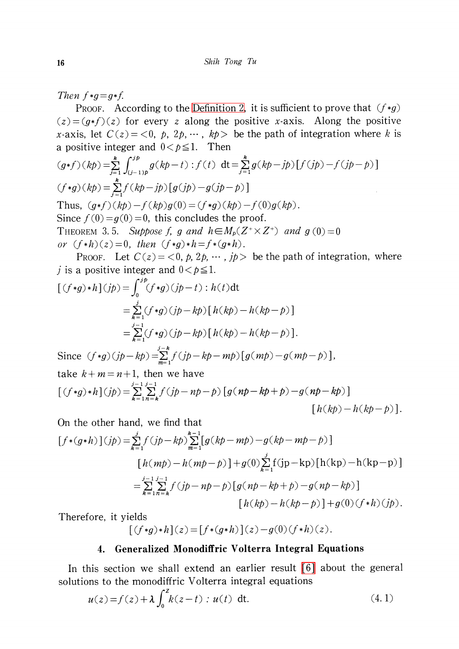Then  $f*g=g*f$ .

PROOF. According to the [Definition](#page-0-0) 2, it is sufficient to prove that  $(f * g)$  $(z)=(g*f)(z)$  for every z along the positive x-axis. Along the positive x-axis, let  $C(z) = \langle 0, p, 2p, \cdots, kp \rangle$  be the path of integration where k is a positive integer and  $0 < p \leq 1$ . Then

$$
(g*f)(kp) = \sum_{j=1}^{k} \int_{(j-1)p}^{jp} g(kp-t) : f(t) dt = \sum_{j=1}^{k} g(kp-jp) [f(jp)-f(jp-p)]
$$
  
(f\*g)(kp) =  $\sum_{j=1}^{k} f(kp-jp) [g(jp)-g(jp-p)]$   
Thus,  $(g*f)(kp) - f(kp)g(0) = (f*g)(kp) - f(0)g(kp)$ .  
Since  $f(0) = g(0) = 0$ , this concludes the proof.  
THEOREM 3.5. Suppose f, g and  $h \in M_p(Z^* \times Z^+)$  and  $g(0) = 0$   
or  $(f*h)(z) = 0$ , then  $(f*g)*h = f*(g*h)$ .

PROOF. Let  $C(z) = \langle 0, p, 2p, \cdots, jp \rangle$  be the path of integration, where j is a positive integer and  $0 < p \leq 1$ .

$$
[(f*g)*h](jp) = \int_0^{jp}(f*g)(jp-t) : h(t)dt
$$
  
=  $\sum_{k=1}^{j}(f*g)(jp-kp)[h(kp)-h(kp-p)]$   
=  $\sum_{k=1}^{j-1}(f*g)(jp-kp)[h(kp)-h(kp-p)].$ 

Since  $(f*g)(jp-kp) = \sum_{m=1}^{g}f(jp-kp-mp) [g(mp)-g(mp-p)],$ take  $k+m=n+1$ , then we have  $[\; (f\ast g)\ast h\; ](jp)=\sum_{k=1}^{j-1}\sum_{n=k}^{j-1}f(jp-np-p)\left[g(np-kp+p)-g(np-kp)\right]$  $[h(kb)-h(kb-b)].$ 

On the other hand, we find that

$$
[f*(g*h)](jp) = \sum_{k=1}^{j} f(jp - kp) \sum_{m=1}^{k-1} [g(kp - mp) - g(kp - mp - p)]
$$
  
\n
$$
[h(mp) - h(mp - p)] + g(0) \sum_{k=1}^{j} f(jp - kp) [h(kp) - h(kp - p)]
$$
  
\n
$$
= \sum_{k=1}^{j-1} \sum_{n=k}^{j-1} f(jp - np - p) [g(np - kp) - g(np - kp)]
$$
  
\n
$$
[h(kp) - h(kp - p)] + g(0) (f*h) (jp).
$$

Therefore, it yields

$$
[(f*g)*h](z) = [f*(g*h)](z) - g(0)(f*h)(z).
$$

## 4. Generalized Monodiffric Volterra Integral Equations

In this section we shall extend an earlier result [\[6\]](#page-6-0) about the general solutions to the monodiffric Volterra integral equations

$$
u(z) = f(z) + \lambda \int_0^z k(z - t) : u(t) \, dt. \tag{4.1}
$$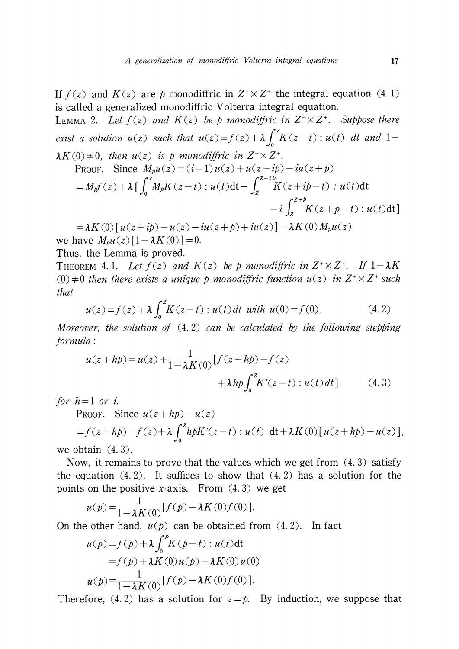If  $f(z)$  and  $K(z)$  are p monodiffric in  $Z^{+}\times Z^{+}$  the integral equation (4. 1) is called a generalized monodiffric Volterra integral equation. LEMMA 2. Let  $f(z)$  and  $K(z)$  be p monodiffric in  $Z^{+}\times Z^{+}$ . Suppose there exist a solution  $u(z)$  such that  $u(z)=f(z)+\lambda\int_{0}^{z}K(z-t):u(t)dt$  and 1- $\lambda K(0) \neq 0$ , then  $u(z)$  is p monodiffric in  $Z^{+}\times Z^{+}$ .  $\sum_{n=0}^{\infty}$ . Since  $M_{\alpha\beta}(z)=(i-1)u(z)+u(z+ib)-iu(z+b)$ 

PROOF. Since 
$$
M_p u(z) = (i-1)u(z) + u(z + ip) - iu(z + p)
$$
  
\n
$$
= M_p f(z) + \lambda \left[ \int_0^z M_p K(z - t) : u(t) dt + \int_z^{z + ip} K(z + ip - t) : u(t) dt \right]
$$
\n
$$
-i \int_z^{z + p} K(z + p - t) : u(t) dt
$$

 $=\lambda K(0) [ u(z+ip)-u(z)-iu(z+p)+iu(z)] =\lambda K(0)M_{p}u(z)$ we have  $M_{p}u(z)[1-\lambda K(0)]=0$ .

Thus, the Lemma is proved.

THEOREM 4.1. Let  $f(z)$  and  $K(z)$  be p monodiffric in  $Z^{+}\times Z^{+}$ . If  $1-\lambda K$ (0)  $\neq$  0 then there exists a unique p monodiffric function  $u(z)$  in  $Z^{+}\times Z^{+}$  such that

$$
u(z) = f(z) + \lambda \int_0^z K(z - t) : u(t) dt \text{ with } u(0) = f(0). \tag{4.2}
$$

Moreover, the solution of  $(4.2)$  can be calculated by the following stepping formula:

$$
u(z + hp) = u(z) + \frac{1}{1 - \lambda K(0)} [f(z + hp) - f(z) + \lambda h p \int_0^z K'(z - t) : u(t) dt]
$$
 (4.3)

for  $h=1$  or i.

PROOF. Since  $u(z+hp)-u(z)$ 

$$
=f(z+h\mathbf{p})-f(z)+\lambda\int_0^z h\mathbf{p}K'(z-t):u(t) \, \mathrm{d}t+\lambda K(0)[u(z+h\mathbf{p})-u(z)],
$$

we obtain  $(4.3)$ .

Now, it remains to prove that the values which we get from (4. 3) satisfy the equation  $(4.2)$ . It suffices to show that  $(4.2)$  has a solution for the points on the positive x-axis. From  $(4.3)$  we get

$$
u(p) = \frac{1}{1 - \lambda K(0)} [f(p) - \lambda K(0) f(0)].
$$

On the other hand,  $u(p)$  can be obtained from  $(4, 2)$ . In fact

$$
u(p) = f(p) + \lambda \int_0^p K(p-t) : u(t) dt
$$
  
=  $f(p) + \lambda K(0) u(p) - \lambda K(0) u(0)$   

$$
u(p) = \frac{1}{1 - \lambda K(0)} [f(p) - \lambda K(0) f(0)].
$$

Therefore, (4.2) has a solution for  $z = p$ . By induction, we suppose that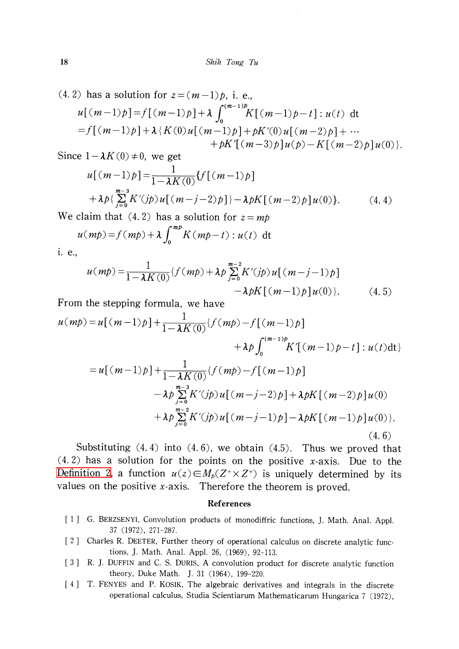(4.2) has a solution for 
$$
z = (m-1)p
$$
, i. e.,  
\n
$$
u[(m-1)p] = f[(m-1)p] + \lambda \int_0^{(m-1)p} K[(m-1)p-t] : u(t) dt
$$
\n
$$
= f[(m-1)p] + \lambda \{K(0)u[(m-1)p] + pK'(0)u[(m-2)p] + \cdots + pK'[(m-3)p]u(p) - K[(m-2)p]u(0)\}.
$$

Since  $1-\lambda K(0)\neq 0$ , we get

$$
u[(m-1)p] = \frac{1}{1 - \lambda K(0)} \{f[(m-1)p] + \lambda p\} \sum_{j=0}^{m-3} K'(jp) u[(m-j-2)p]\} - \lambda pK[(m-2)p] u(0)\}.
$$
 (4.4)

We claim that (4.2) has a solution for  $z=mp$ 

$$
u(mp) = f(mp) + \lambda \int_0^{mp} K(mp-t) : u(t) \, dt
$$

i. e.,

$$
u(mp) = \frac{1}{1 - \lambda K(0)} \{ f(mp) + \lambda p \sum_{j=0}^{m-2} K'(jp) u[(m-j-1)p] - \lambda p K[(m-1)p] u(0) \}. \tag{4.5}
$$

From the stepping formula, we have

$$
u(mp) = u[(m-1)p] + \frac{1}{1 - \lambda K(0)} \{f(mp) - f[(m-1)p] + \lambda p \int_0^{(m-1)p} K[(m-1)p - t] : u(t) dt\}
$$
  
=  $u[(m-1)p] + \frac{1}{1 - \lambda K(0)} \{f(mp) - f[(m-1)p] - \lambda p \sum_{j=0}^{m-3} K'(jp) u[(m-j-2)p] + \lambda p K[(m-2)p] u(0) + \lambda p \sum_{j=0}^{m-2} K'(jp) u[(m-j-1)p] - \lambda p K[(m-1)p] u(0)\}. \tag{4.6}$ 

Substituting  $(4.4)$  into  $(4.6)$ , we obtain  $(4.5)$ . Thus we proved that  $(4. 2)$  has a solution for the points on the positive x-axis. Due to the [Definition](#page-0-0) 2, a function  $u(z)\in M_{p}(Z^{+}\times Z^{+})$  is uniquely determined by its values on the positive  $x$ -axis. Therefore the theorem is proved.

#### References

- <span id="page-5-3"></span>[1] G. BERZSENYI, Convolution products of monodiffric functions, J. Math. Anal. Appl. 37 (1972), 271-287.
- <span id="page-5-0"></span>[2] Charles R. DEETER, Further theory of operational calculus on discrete analytic functions, J. Math. Anal. Appl. 26, (1969), 92-113.
- <span id="page-5-1"></span>[3] R. J. DUFFIN and C. S. DURIS, A convolution product for discrete analytic function theory, Duke Math. J. 31 (1964), 199-220.
- <span id="page-5-2"></span>[4] T. FENYES and P. KOSIK, The algebraic derivatives and integrals in the discrete operational calculus, Studia Scientiarum Mathematicarum Hungarica <sup>7</sup> (1972),